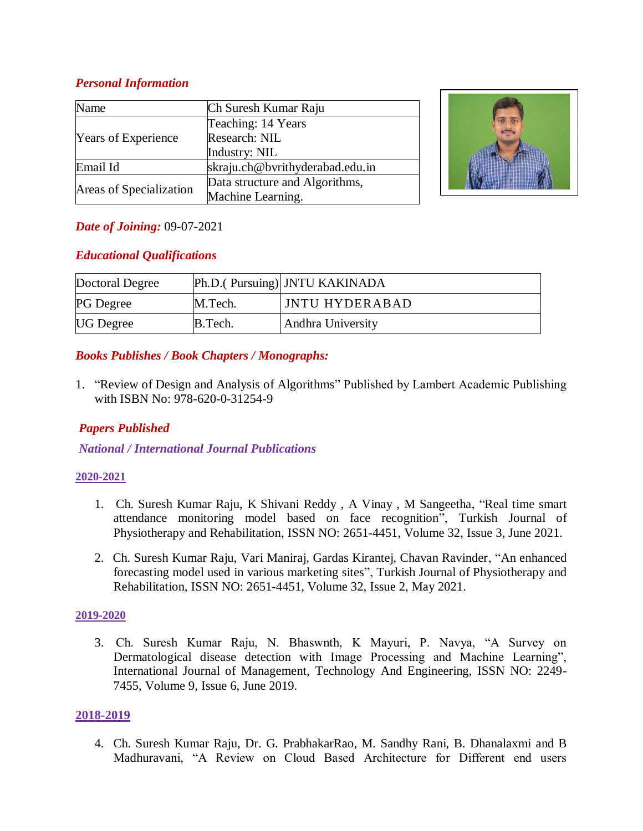# *Personal Information*

| Name                       | Ch Suresh Kumar Raju            |  |
|----------------------------|---------------------------------|--|
| <b>Years of Experience</b> | Teaching: 14 Years              |  |
|                            | Research: NIL                   |  |
|                            | Industry: NIL                   |  |
| Email Id                   | skraju.ch@bvrithyderabad.edu.in |  |
| Areas of Specialization    | Data structure and Algorithms,  |  |
|                            | Machine Learning.               |  |



# *Date of Joining:* 09-07-2021

# *Educational Qualifications*

| Doctoral Degree  |         | Ph.D.(Pursuing) JNTU KAKINADA |
|------------------|---------|-------------------------------|
| <b>PG</b> Degree | M.Tech. | <b>JNTU HYDERABAD</b>         |
| <b>UG</b> Degree | B.Tech. | Andhra University             |

# *Books Publishes / Book Chapters / Monographs:*

1. "Review of Design and Analysis of Algorithms" Published by Lambert Academic Publishing with ISBN No: 978-620-0-31254-9

# *Papers Published*

*National / International Journal Publications*

#### **2020-2021**

- 1. Ch. Suresh Kumar Raju, K Shivani Reddy , A Vinay , M Sangeetha, "Real time smart attendance monitoring model based on face recognition", Turkish Journal of Physiotherapy and Rehabilitation, ISSN NO: 2651-4451, Volume 32, Issue 3, June 2021.
- 2. Ch. Suresh Kumar Raju, Vari Maniraj, Gardas Kirantej, Chavan Ravinder, "An enhanced forecasting model used in various marketing sites", Turkish Journal of Physiotherapy and Rehabilitation, ISSN NO: 2651-4451, Volume 32, Issue 2, May 2021.

#### **2019-2020**

3. Ch. Suresh Kumar Raju, N. Bhaswnth, K Mayuri, P. Navya, "A Survey on Dermatological disease detection with Image Processing and Machine Learning", International Journal of Management, Technology And Engineering, ISSN NO: 2249- 7455, Volume 9, Issue 6, June 2019.

#### **2018-2019**

4. Ch. Suresh Kumar Raju, Dr. G. PrabhakarRao, M. Sandhy Rani, B. Dhanalaxmi and B Madhuravani, "A Review on Cloud Based Architecture for Different end users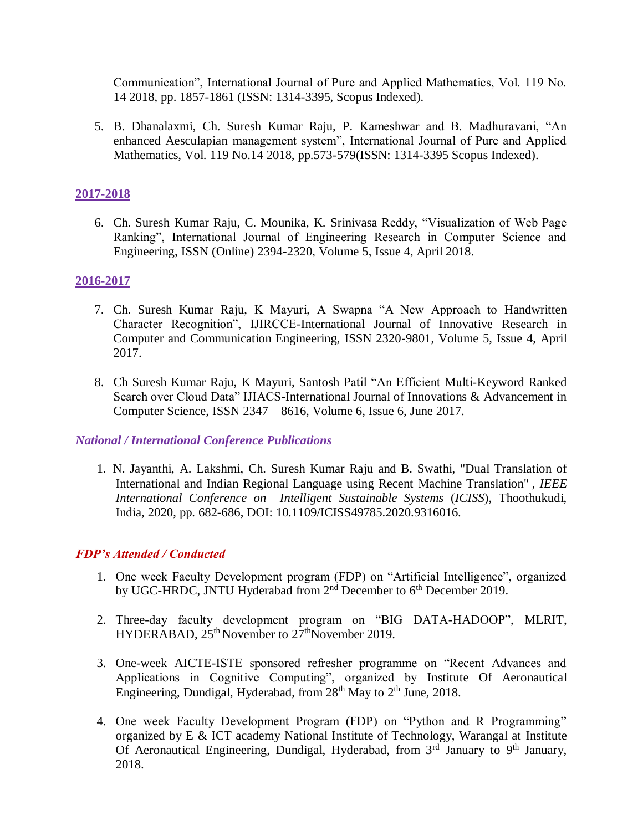Communication", International Journal of Pure and Applied Mathematics, Vol. 119 No. 14 2018, pp. 1857-1861 (ISSN: 1314-3395, Scopus Indexed).

5. B. Dhanalaxmi, Ch. Suresh Kumar Raju, P. Kameshwar and B. Madhuravani, "An enhanced Aesculapian management system", International Journal of Pure and Applied Mathematics, Vol. 119 No.14 2018, pp.573-579(ISSN: 1314-3395 Scopus Indexed).

## **2017-2018**

6. Ch. Suresh Kumar Raju, C. Mounika, K. Srinivasa Reddy, "Visualization of Web Page Ranking", International Journal of Engineering Research in Computer Science and Engineering, ISSN (Online) 2394-2320, Volume 5, Issue 4, April 2018.

## **2016-2017**

- 7. Ch. Suresh Kumar Raju, K Mayuri, A Swapna "A New Approach to Handwritten Character Recognition", IJIRCCE-International Journal of Innovative Research in Computer and Communication Engineering, ISSN 2320-9801, Volume 5, Issue 4, April 2017.
- 8. Ch Suresh Kumar Raju, K Mayuri, Santosh Patil "An Efficient Multi-Keyword Ranked Search over Cloud Data" IJIACS-International Journal of Innovations & Advancement in Computer Science, ISSN 2347 – 8616, Volume 6, Issue 6, June 2017.

#### *National / International Conference Publications*

1. N. Jayanthi, A. Lakshmi, Ch. Suresh Kumar Raju and B. Swathi, "Dual Translation of International and Indian Regional Language using Recent Machine Translation" , *IEEE International Conference on Intelligent Sustainable Systems* (*ICISS*), Thoothukudi, India, 2020, pp. 682-686, DOI: 10.1109/ICISS49785.2020.9316016.

#### *FDP's Attended / Conducted*

- 1. One week Faculty Development program (FDP) on "Artificial Intelligence", organized by UGC-HRDC, JNTU Hyderabad from 2<sup>nd</sup> December to 6<sup>th</sup> December 2019.
- 2. Three-day faculty development program on "BIG DATA-HADOOP", MLRIT, HYDERABAD,  $25<sup>th</sup>$  November to  $27<sup>th</sup>$  November 2019.
- 3. One-week AICTE-ISTE sponsored refresher programme on "Recent Advances and Applications in Cognitive Computing", organized by Institute Of Aeronautical Engineering, Dundigal, Hyderabad, from  $28<sup>th</sup>$  May to  $2<sup>th</sup>$  June, 2018.
- 4. One week Faculty Development Program (FDP) on "Python and R Programming" organized by E & ICT academy National Institute of Technology, Warangal at Institute Of Aeronautical Engineering, Dundigal, Hyderabad, from  $3<sup>rd</sup>$  January to  $9<sup>th</sup>$  January, 2018.